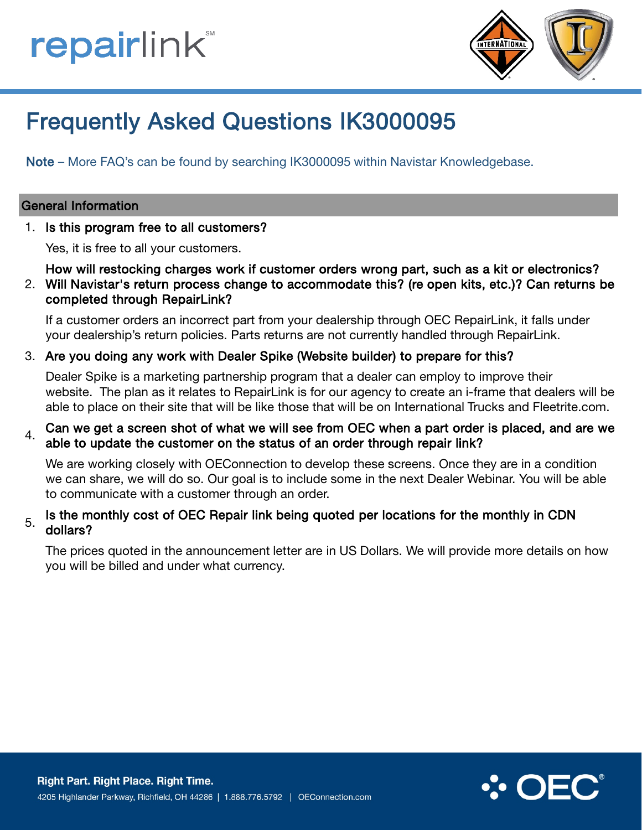# **repairlink**®



# Frequently Asked Questions IK3000095

Note – More FAQ's can be found by searching IK3000095 within Navistar Knowledgebase.

### General Information

1. Is this program free to all customers?

Yes, it is free to all your customers.

How will restocking charges work if customer orders wrong part, such as a kit or electronics?

2. Will Navistar's return process change to accommodate this? (re open kits, etc.)? Can returns be completed through RepairLink?

If a customer orders an incorrect part from your dealership through OEC RepairLink, it falls under your dealership's return policies. Parts returns are not currently handled through RepairLink.

### 3. Are you doing any work with Dealer Spike (Website builder) to prepare for this?

Dealer Spike is a marketing partnership program that a dealer can employ to improve their website. The plan as it relates to RepairLink is for our agency to create an i-frame that dealers will be able to place on their site that will be like those that will be on International Trucks and Fleetrite.com.

### $4.$  Can we get a screen shot of what we will see from OEC when a part order is placed, and are we able to update the customer on the status of an order through repair link?

We are working closely with OEConnection to develop these screens. Once they are in a condition we can share, we will do so. Our goal is to include some in the next Dealer Webinar. You will be able to communicate with a customer through an order.

### $5.$  Is the monthly cost of OEC Repair link being quoted per locations for the monthly in CDN dollars?

The prices quoted in the announcement letter are in US Dollars. We will provide more details on how you will be billed and under what currency.

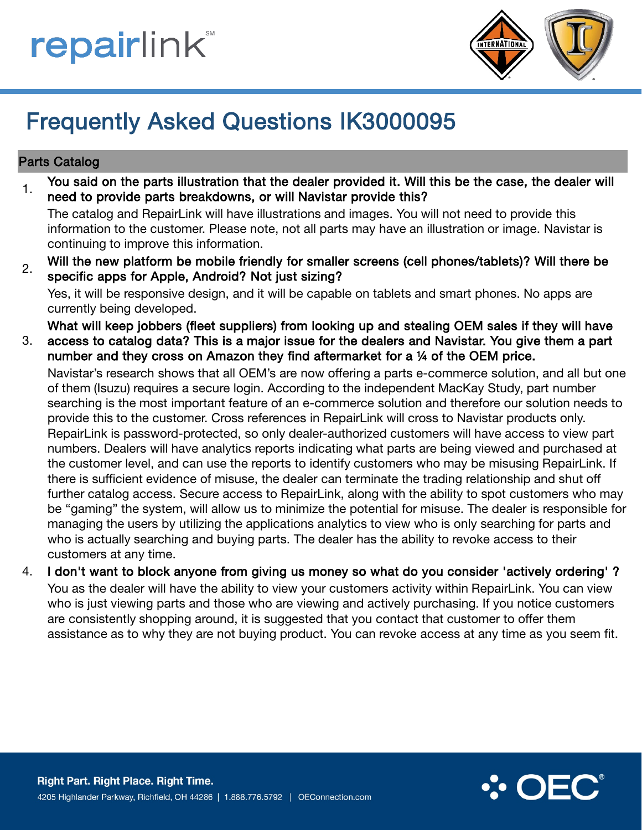**repairlink**®



# Frequently Asked Questions IK3000095

## Parts Catalog

 $1.$  You said on the parts illustration that the dealer provided it. Will this be the case, the dealer will need to provide parts breakdowns, or will Navistar provide this?

The catalog and RepairLink will have illustrations and images. You will not need to provide this information to the customer. Please note, not all parts may have an illustration or image. Navistar is continuing to improve this information.

2. Will the new platform be mobile friendly for smaller screens (cell phones/tablets)? Will there be specific apps for Apple, Android? Not just sizing?

Yes, it will be responsive design, and it will be capable on tablets and smart phones. No apps are currently being developed.

What will keep jobbers (fleet suppliers) from looking up and stealing OEM sales if they will have

3. access to catalog data? This is a major issue for the dealers and Navistar. You give them a part number and they cross on Amazon they find aftermarket for a ¼ of the OEM price.

Navistar's research shows that all OEM's are now offering a parts e-commerce solution, and all but one of them (Isuzu) requires a secure login. According to the independent MacKay Study, part number searching is the most important feature of an e-commerce solution and therefore our solution needs to provide this to the customer. Cross references in RepairLink will cross to Navistar products only. RepairLink is password-protected, so only dealer-authorized customers will have access to view part numbers. Dealers will have analytics reports indicating what parts are being viewed and purchased at the customer level, and can use the reports to identify customers who may be misusing RepairLink. If there is sufficient evidence of misuse, the dealer can terminate the trading relationship and shut off further catalog access. Secure access to RepairLink, along with the ability to spot customers who may be "gaming" the system, will allow us to minimize the potential for misuse. The dealer is responsible for managing the users by utilizing the applications analytics to view who is only searching for parts and who is actually searching and buying parts. The dealer has the ability to revoke access to their customers at any time.

4. I don't want to block anyone from giving us money so what do you consider 'actively ordering' ? You as the dealer will have the ability to view your customers activity within RepairLink. You can view who is just viewing parts and those who are viewing and actively purchasing. If you notice customers are consistently shopping around, it is suggested that you contact that customer to offer them assistance as to why they are not buying product. You can revoke access at any time as you seem fit.

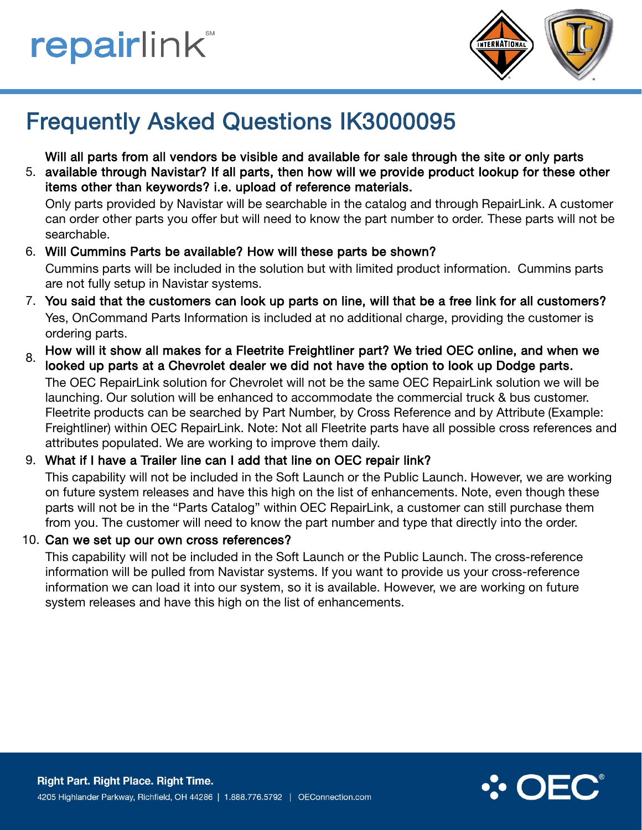



## Frequently Asked Questions IK3000095

Will all parts from all vendors be visible and available for sale through the site or only parts

5. available through Navistar? If all parts, then how will we provide product lookup for these other items other than keywords? i.e. upload of reference materials.

Only parts provided by Navistar will be searchable in the catalog and through RepairLink. A customer can order other parts you offer but will need to know the part number to order. These parts will not be searchable.

## 6. Will Cummins Parts be available? How will these parts be shown?

Cummins parts will be included in the solution but with limited product information. Cummins parts are not fully setup in Navistar systems.

- 7. You said that the customers can look up parts on line, will that be a free link for all customers? Yes, OnCommand Parts Information is included at no additional charge, providing the customer is ordering parts.
- $8.$  How will it show all makes for a Fleetrite Freightliner part? We tried OEC online, and when we looked up parts at a Chevrolet dealer we did not have the option to look up Dodge parts. The OEC RepairLink solution for Chevrolet will not be the same OEC RepairLink solution we will be launching. Our solution will be enhanced to accommodate the commercial truck & bus customer. Fleetrite products can be searched by Part Number, by Cross Reference and by Attribute (Example: Freightliner) within OEC RepairLink. Note: Not all Fleetrite parts have all possible cross references and attributes populated. We are working to improve them daily.

### 9. What if I have a Trailer line can I add that line on OEC repair link?

This capability will not be included in the Soft Launch or the Public Launch. However, we are working on future system releases and have this high on the list of enhancements. Note, even though these parts will not be in the "Parts Catalog" within OEC RepairLink, a customer can still purchase them from you. The customer will need to know the part number and type that directly into the order.

10. Can we set up our own cross references?

This capability will not be included in the Soft Launch or the Public Launch. The cross-reference information will be pulled from Navistar systems. If you want to provide us your cross-reference information we can load it into our system, so it is available. However, we are working on future system releases and have this high on the list of enhancements.

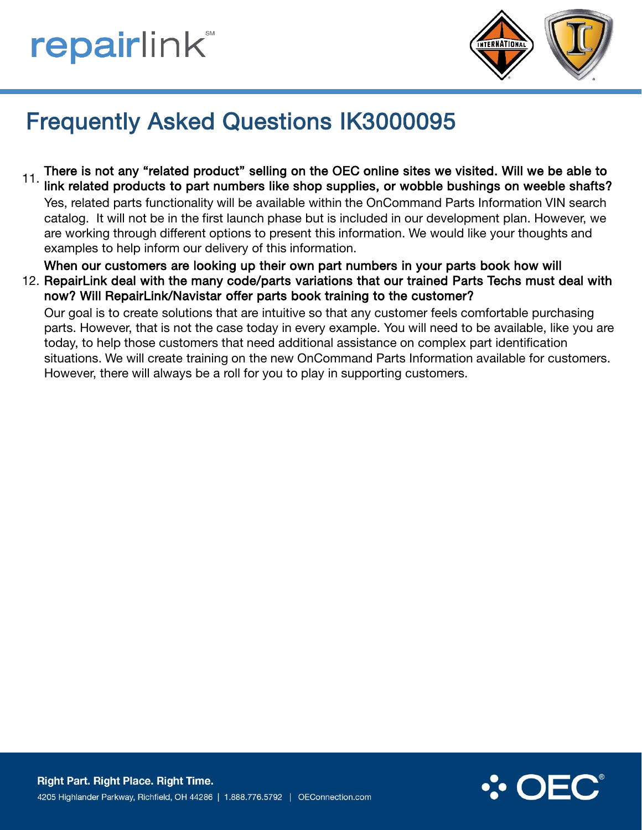# **repairlink**



# Frequently Asked Questions IK3000095

11. There is not any "related product" selling on the OEC online sites we visited. Will we be able to link related products to part numbers like shop supplies, or wobble bushings on weeble shafts? Yes, related parts functionality will be available within the OnCommand Parts Information VIN search catalog. It will not be in the first launch phase but is included in our development plan. However, we are working through different options to present this information. We would like your thoughts and examples to help inform our delivery of this information.

When our customers are looking up their own part numbers in your parts book how will

12. RepairLink deal with the many code/parts variations that our trained Parts Techs must deal with now? Will RepairLink/Navistar offer parts book training to the customer?

Our goal is to create solutions that are intuitive so that any customer feels comfortable purchasing parts. However, that is not the case today in every example. You will need to be available, like you are today, to help those customers that need additional assistance on complex part identification situations. We will create training on the new OnCommand Parts Information available for customers. However, there will always be a roll for you to play in supporting customers.

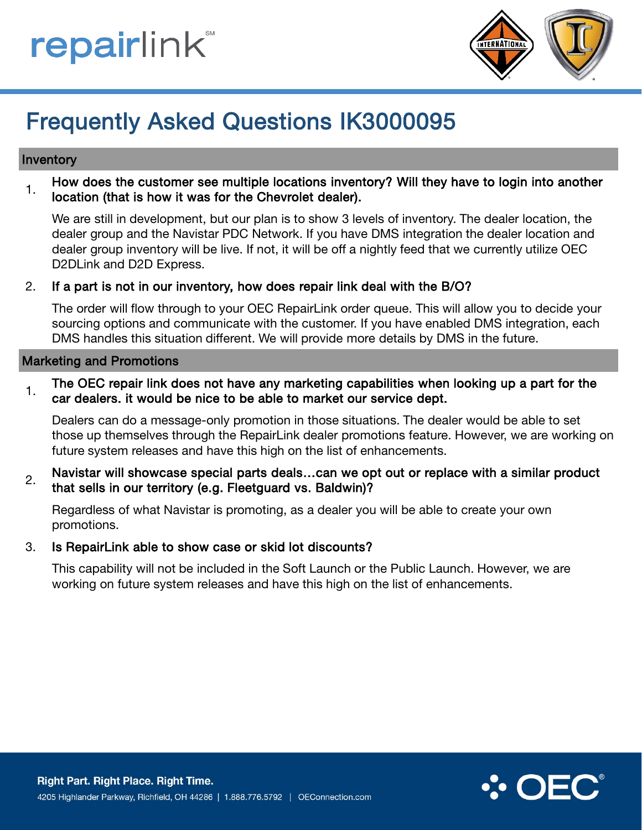



## Frequently Asked Questions IK3000095

### Inventory

 $1$ . How does the customer see multiple locations inventory? Will they have to login into another location (that is how it was for the Chevrolet dealer).

We are still in development, but our plan is to show 3 levels of inventory. The dealer location, the dealer group and the Navistar PDC Network. If you have DMS integration the dealer location and dealer group inventory will be live. If not, it will be off a nightly feed that we currently utilize OEC D2DLink and D2D Express.

#### 2. If a part is not in our inventory, how does repair link deal with the B/O?

The order will flow through to your OEC RepairLink order queue. This will allow you to decide your sourcing options and communicate with the customer. If you have enabled DMS integration, each DMS handles this situation different. We will provide more details by DMS in the future.

#### Marketing and Promotions

 $1.$  The OEC repair link does not have any marketing capabilities when looking up a part for the car dealers. it would be nice to be able to market our service dept.

Dealers can do a message-only promotion in those situations. The dealer would be able to set those up themselves through the RepairLink dealer promotions feature. However, we are working on future system releases and have this high on the list of enhancements.

2. Navistar will showcase special parts deals...can we opt out or replace with a similar product that sells in our territory (e.g. Fleetguard vs. Baldwin)?

Regardless of what Navistar is promoting, as a dealer you will be able to create your own promotions.

3. Is RepairLink able to show case or skid lot discounts?

This capability will not be included in the Soft Launch or the Public Launch. However, we are working on future system releases and have this high on the list of enhancements.

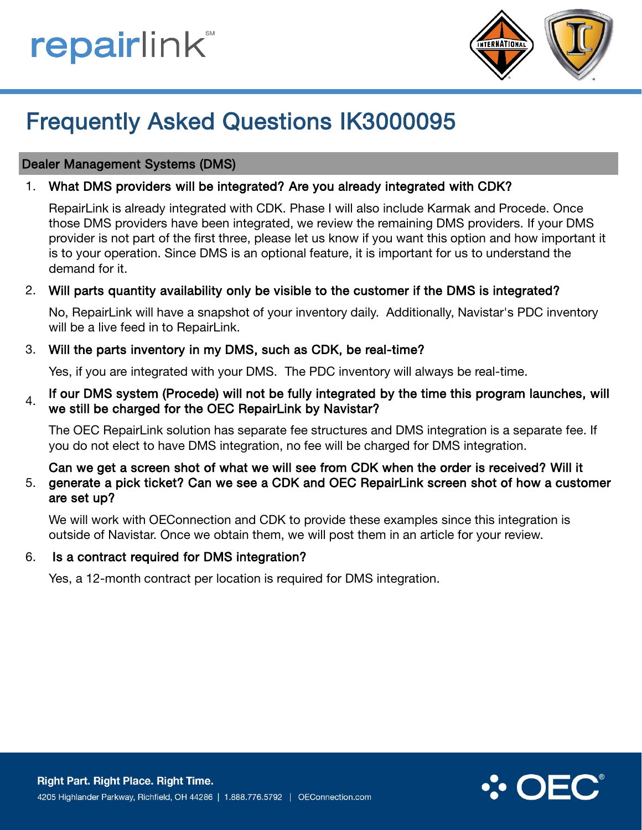# **repairlink**



# Frequently Asked Questions IK3000095

## Dealer Management Systems (DMS)

### 1. What DMS providers will be integrated? Are you already integrated with CDK?

RepairLink is already integrated with CDK. Phase I will also include Karmak and Procede. Once those DMS providers have been integrated, we review the remaining DMS providers. If your DMS provider is not part of the first three, please let us know if you want this option and how important it is to your operation. Since DMS is an optional feature, it is important for us to understand the demand for it.

## 2. Will parts quantity availability only be visible to the customer if the DMS is integrated?

No, RepairLink will have a snapshot of your inventory daily. Additionally, Navistar's PDC inventory will be a live feed in to RepairLink.

## 3. Will the parts inventory in my DMS, such as CDK, be real-time?

Yes, if you are integrated with your DMS. The PDC inventory will always be real-time.

## $_4$  If our DMS system (Procede) will not be fully integrated by the time this program launches, will we still be charged for the OEC RepairLink by Navistar?

The OEC RepairLink solution has separate fee structures and DMS integration is a separate fee. If you do not elect to have DMS integration, no fee will be charged for DMS integration.

#### 5. Can we get a screen shot of what we will see from CDK when the order is received? Will it generate a pick ticket? Can we see a CDK and OEC RepairLink screen shot of how a customer are set up?

We will work with OEConnection and CDK to provide these examples since this integration is outside of Navistar. Once we obtain them, we will post them in an article for your review.

### 6. Is a contract required for DMS integration?

Yes, a 12-month contract per location is required for DMS integration.